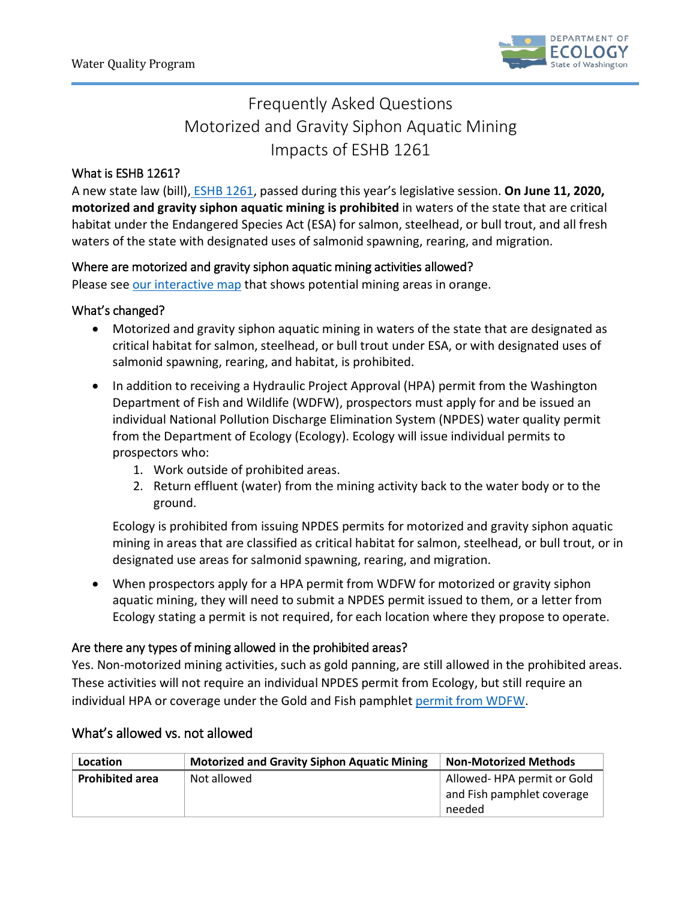

# Frequently Asked Questions Motorized and Gravity Siphon Aquatic Mining Impacts of ESHB 1261

### What is ESHB 1261?

A new state law (bill), [ESHB 1261,](http://lawfilesext.leg.wa.gov/biennium/2019-20/Pdf/Bills/Session%20Laws/House/1261-S.SL.pdf?q=20200505161931) passed during this year's legislative session. **On June 11, 2020, motorized and gravity siphon aquatic mining is prohibited** in waters of the state that are critical habitat under the Endangered Species Act (ESA) for salmon, steelhead, or bull trout, and all fresh waters of the state with designated uses of salmonid spawning, rearing, and migration.

#### Where are motorized and gravity siphon aquatic mining activities allowed?

Please see [our interactive map](https://waecy.maps.arcgis.com/apps/View/index.html?appid=36f9b4cf01724c55b4b795de2d7d1615) that shows potential mining areas in orange.

#### What's changed?

- Motorized and gravity siphon aquatic mining in waters of the state that are designated as critical habitat for salmon, steelhead, or bull trout under ESA, or with designated uses of salmonid spawning, rearing, and habitat, is prohibited.
- In addition to receiving a Hydraulic Project Approval (HPA) permit from the Washington Department of Fish and Wildlife (WDFW), prospectors must apply for and be issued an individual National Pollution Discharge Elimination System (NPDES) water quality permit from the Department of Ecology (Ecology). Ecology will issue individual permits to prospectors who:
	- 1. Work outside of prohibited areas.
	- 2. Return effluent (water) from the mining activity back to the water body or to the ground.

Ecology is prohibited from issuing NPDES permits for motorized and gravity siphon aquatic mining in areas that are classified as critical habitat for salmon, steelhead, or bull trout, or in designated use areas for salmonid spawning, rearing, and migration.

• When prospectors apply for a HPA permit from WDFW for motorized or gravity siphon aquatic mining, they will need to submit a NPDES permit issued to them, or a letter from Ecology stating a permit is not required, for each location where they propose to operate.

#### Are there any types of mining allowed in the prohibited areas?

Yes. Non-motorized mining activities, such as gold panning, are still allowed in the prohibited areas. These activities will not require an individual NPDES permit from Ecology, but still require an individual HPA or coverage under the Gold and Fish pamphlet [permit from WDFW.](https://wdfw.wa.gov/publications/02109)

# What's allowed vs. not allowed

| Location               | <b>Motorized and Gravity Siphon Aquatic Mining</b> | <b>Non-Motorized Methods</b>                                       |
|------------------------|----------------------------------------------------|--------------------------------------------------------------------|
| <b>Prohibited area</b> | Not allowed                                        | Allowed-HPA permit or Gold<br>and Fish pamphlet coverage<br>needed |